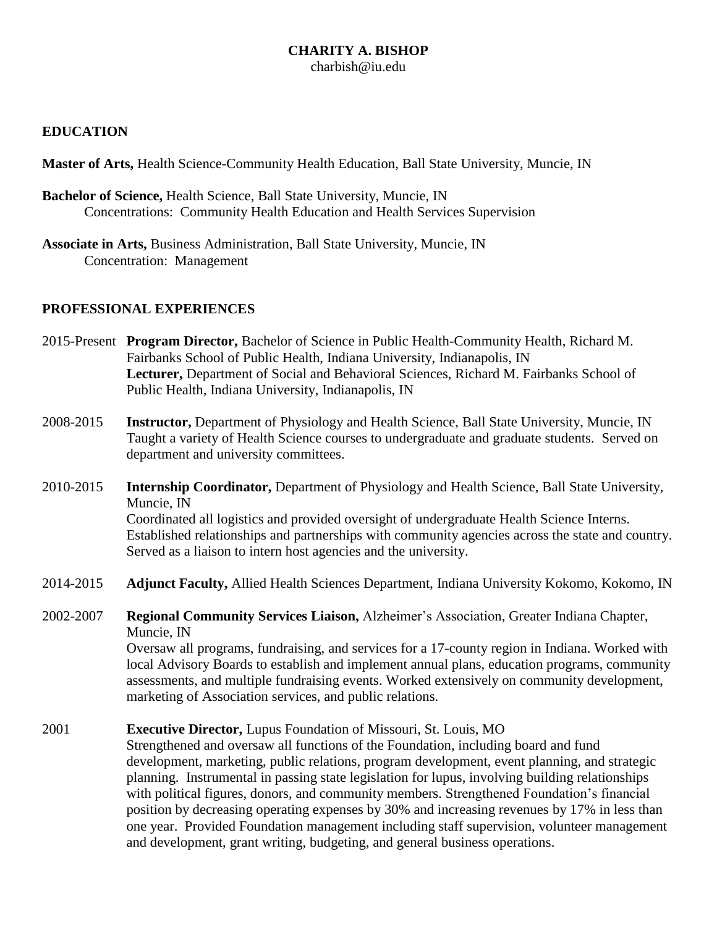#### **CHARITY A. BISHOP** charbish@iu.edu

#### **EDUCATION**

**Master of Arts,** Health Science-Community Health Education, Ball State University, Muncie, IN

- **Bachelor of Science,** Health Science, Ball State University, Muncie, IN Concentrations: Community Health Education and Health Services Supervision
- **Associate in Arts,** Business Administration, Ball State University, Muncie, IN Concentration: Management

#### **PROFESSIONAL EXPERIENCES**

- 2015-Present **Program Director,** Bachelor of Science in Public Health-Community Health, Richard M. Fairbanks School of Public Health, Indiana University, Indianapolis, IN **Lecturer,** Department of Social and Behavioral Sciences, Richard M. Fairbanks School of Public Health, Indiana University, Indianapolis, IN
- 2008-2015 **Instructor,** Department of Physiology and Health Science, Ball State University, Muncie, IN Taught a variety of Health Science courses to undergraduate and graduate students. Served on department and university committees.
- 2010-2015 **Internship Coordinator,** Department of Physiology and Health Science, Ball State University, Muncie, IN Coordinated all logistics and provided oversight of undergraduate Health Science Interns. Established relationships and partnerships with community agencies across the state and country. Served as a liaison to intern host agencies and the university.
- 2014-2015 **Adjunct Faculty,** Allied Health Sciences Department, Indiana University Kokomo, Kokomo, IN
- 2002-2007 **Regional Community Services Liaison,** Alzheimer's Association, Greater Indiana Chapter, Muncie, IN

Oversaw all programs, fundraising, and services for a 17-county region in Indiana. Worked with local Advisory Boards to establish and implement annual plans, education programs, community assessments, and multiple fundraising events. Worked extensively on community development, marketing of Association services, and public relations.

#### 2001 **Executive Director,** Lupus Foundation of Missouri, St. Louis, MO

Strengthened and oversaw all functions of the Foundation, including board and fund development, marketing, public relations, program development, event planning, and strategic planning. Instrumental in passing state legislation for lupus, involving building relationships with political figures, donors, and community members. Strengthened Foundation's financial position by decreasing operating expenses by 30% and increasing revenues by 17% in less than one year. Provided Foundation management including staff supervision, volunteer management and development, grant writing, budgeting, and general business operations.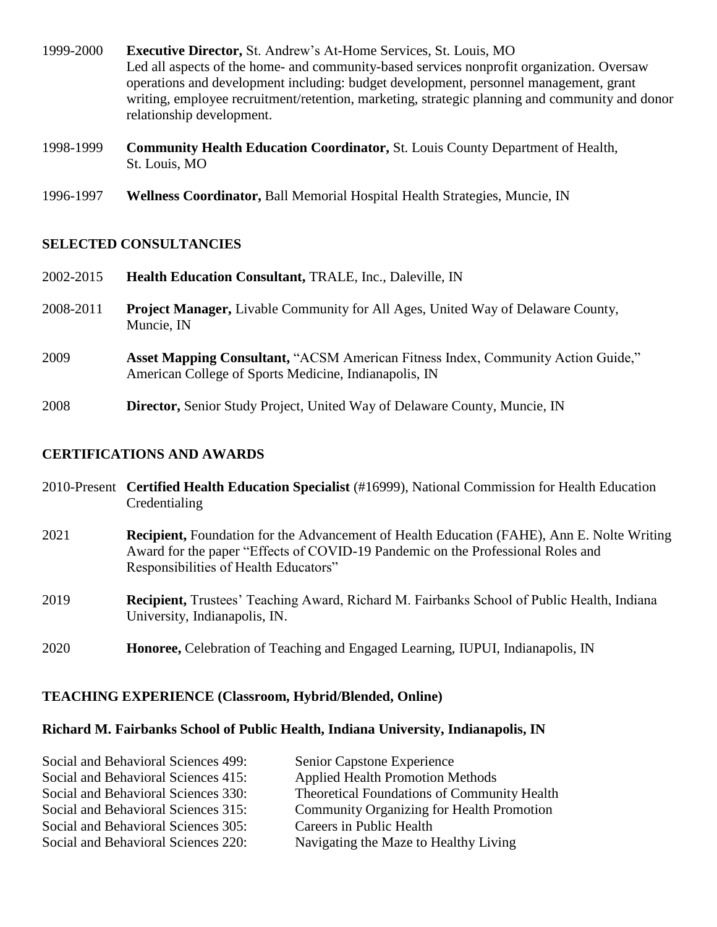- 1999-2000 **Executive Director,** St. Andrew's At-Home Services, St. Louis, MO Led all aspects of the home- and community-based services nonprofit organization. Oversaw operations and development including: budget development, personnel management, grant writing, employee recruitment/retention, marketing, strategic planning and community and donor relationship development.
- 1998-1999 **Community Health Education Coordinator,** St. Louis County Department of Health, St. Louis, MO
- 1996-1997 **Wellness Coordinator,** Ball Memorial Hospital Health Strategies, Muncie, IN

### **SELECTED CONSULTANCIES**

2002-2015 **Health Education Consultant,** TRALE, Inc., Daleville, IN 2008-2011 **Project Manager,** Livable Community for All Ages, United Way of Delaware County, Muncie, IN 2009 **Asset Mapping Consultant,** "ACSM American Fitness Index, Community Action Guide," American College of Sports Medicine, Indianapolis, IN 2008 **Director,** Senior Study Project, United Way of Delaware County, Muncie, IN

### **CERTIFICATIONS AND AWARDS**

|      | 2010-Present Certified Health Education Specialist (#16999), National Commission for Health Education<br>Credentialing                                                                                                        |
|------|-------------------------------------------------------------------------------------------------------------------------------------------------------------------------------------------------------------------------------|
| 2021 | <b>Recipient, Foundation for the Advancement of Health Education (FAHE), Ann E. Nolte Writing</b><br>Award for the paper "Effects of COVID-19 Pandemic on the Professional Roles and<br>Responsibilities of Health Educators" |
| 2019 | <b>Recipient,</b> Trustees' Teaching Award, Richard M. Fairbanks School of Public Health, Indiana<br>University, Indianapolis, IN.                                                                                            |
| 2020 | Honoree, Celebration of Teaching and Engaged Learning, IUPUI, Indianapolis, IN                                                                                                                                                |

### **TEACHING EXPERIENCE (Classroom, Hybrid/Blended, Online)**

# **Richard M. Fairbanks School of Public Health, Indiana University, Indianapolis, IN**

| Social and Behavioral Sciences 499: | Senior Capstone Experience                       |
|-------------------------------------|--------------------------------------------------|
| Social and Behavioral Sciences 415: | <b>Applied Health Promotion Methods</b>          |
| Social and Behavioral Sciences 330: | Theoretical Foundations of Community Health      |
| Social and Behavioral Sciences 315: | <b>Community Organizing for Health Promotion</b> |
| Social and Behavioral Sciences 305: | Careers in Public Health                         |
| Social and Behavioral Sciences 220: | Navigating the Maze to Healthy Living            |
|                                     |                                                  |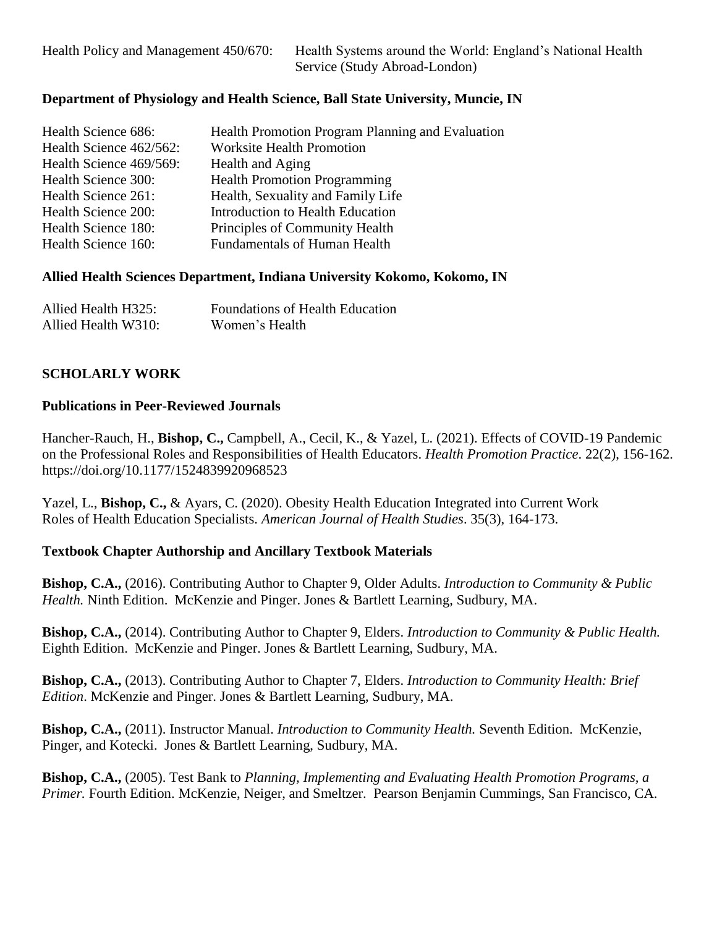#### **Department of Physiology and Health Science, Ball State University, Muncie, IN**

| Health Science 686:     | Health Promotion Program Planning and Evaluation |
|-------------------------|--------------------------------------------------|
| Health Science 462/562: | <b>Worksite Health Promotion</b>                 |
| Health Science 469/569: | Health and Aging                                 |
| Health Science 300:     | <b>Health Promotion Programming</b>              |
| Health Science 261:     | Health, Sexuality and Family Life                |
|                         |                                                  |
| Health Science 200:     | Introduction to Health Education                 |
| Health Science 180:     | Principles of Community Health                   |
| Health Science 160:     | <b>Fundamentals of Human Health</b>              |

#### **Allied Health Sciences Department, Indiana University Kokomo, Kokomo, IN**

| Allied Health H325: | <b>Foundations of Health Education</b> |
|---------------------|----------------------------------------|
| Allied Health W310: | Women's Health                         |

#### **SCHOLARLY WORK**

#### **Publications in Peer-Reviewed Journals**

Hancher-Rauch, H., **Bishop, C.,** Campbell, A., Cecil, K., & Yazel, L. (2021). Effects of COVID-19 Pandemic on the Professional Roles and Responsibilities of Health Educators. *Health Promotion Practice*. 22(2), 156-162. https://doi.org/10.1177/1524839920968523

Yazel, L., **Bishop, C.,** & Ayars, C. (2020). Obesity Health Education Integrated into Current Work Roles of Health Education Specialists. *American Journal of Health Studies*. 35(3), 164-173.

#### **Textbook Chapter Authorship and Ancillary Textbook Materials**

**Bishop, C.A.,** (2016). Contributing Author to Chapter 9, Older Adults. *Introduction to Community & Public Health.* Ninth Edition. McKenzie and Pinger. Jones & Bartlett Learning, Sudbury, MA.

**Bishop, C.A.,** (2014). Contributing Author to Chapter 9, Elders. *Introduction to Community & Public Health.* Eighth Edition. McKenzie and Pinger. Jones & Bartlett Learning, Sudbury, MA.

**Bishop, C.A.,** (2013). Contributing Author to Chapter 7, Elders. *Introduction to Community Health: Brief Edition*. McKenzie and Pinger. Jones & Bartlett Learning, Sudbury, MA.

**Bishop, C.A.,** (2011). Instructor Manual. *Introduction to Community Health.* Seventh Edition. McKenzie, Pinger, and Kotecki. Jones & Bartlett Learning, Sudbury, MA.

**Bishop, C.A.,** (2005). Test Bank to *Planning, Implementing and Evaluating Health Promotion Programs, a Primer.* Fourth Edition. McKenzie, Neiger, and Smeltzer. Pearson Benjamin Cummings, San Francisco, CA.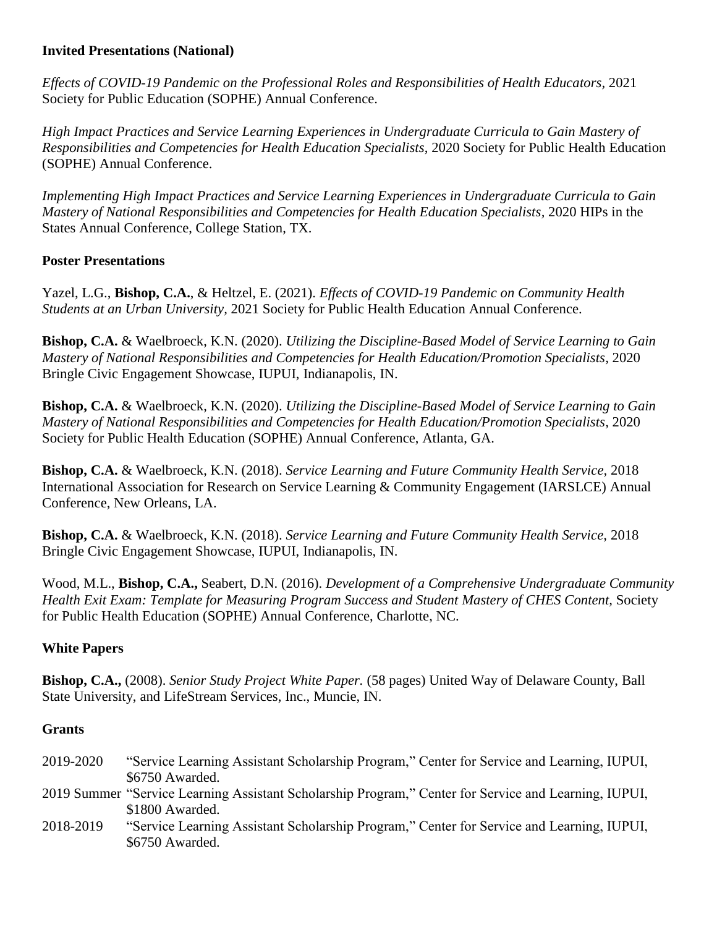### **Invited Presentations (National)**

*Effects of COVID-19 Pandemic on the Professional Roles and Responsibilities of Health Educators,* 2021 Society for Public Education (SOPHE) Annual Conference.

*High Impact Practices and Service Learning Experiences in Undergraduate Curricula to Gain Mastery of Responsibilities and Competencies for Health Education Specialists*, 2020 Society for Public Health Education (SOPHE) Annual Conference.

*Implementing High Impact Practices and Service Learning Experiences in Undergraduate Curricula to Gain Mastery of National Responsibilities and Competencies for Health Education Specialists, 2020 HIPs in the* States Annual Conference, College Station, TX.

### **Poster Presentations**

Yazel, L.G., **Bishop, C.A.**, & Heltzel, E. (2021). *Effects of COVID-19 Pandemic on Community Health Students at an Urban University,* 2021 Society for Public Health Education Annual Conference.

**Bishop, C.A.** & Waelbroeck, K.N. (2020). *Utilizing the Discipline-Based Model of Service Learning to Gain Mastery of National Responsibilities and Competencies for Health Education/Promotion Specialists,* 2020 Bringle Civic Engagement Showcase, IUPUI, Indianapolis, IN.

**Bishop, C.A.** & Waelbroeck, K.N. (2020). *Utilizing the Discipline-Based Model of Service Learning to Gain Mastery of National Responsibilities and Competencies for Health Education/Promotion Specialists,* 2020 Society for Public Health Education (SOPHE) Annual Conference, Atlanta, GA.

**Bishop, C.A.** & Waelbroeck, K.N. (2018). *Service Learning and Future Community Health Service,* 2018 International Association for Research on Service Learning & Community Engagement (IARSLCE) Annual Conference, New Orleans, LA.

**Bishop, C.A.** & Waelbroeck, K.N. (2018). *Service Learning and Future Community Health Service,* 2018 Bringle Civic Engagement Showcase, IUPUI, Indianapolis, IN.

Wood, M.L., **Bishop, C.A.,** Seabert, D.N. (2016). *Development of a Comprehensive Undergraduate Community Health Exit Exam: Template for Measuring Program Success and Student Mastery of CHES Content,* Society for Public Health Education (SOPHE) Annual Conference, Charlotte, NC.

## **White Papers**

**Bishop, C.A.,** (2008). *Senior Study Project White Paper.* (58 pages) United Way of Delaware County, Ball State University, and LifeStream Services, Inc., Muncie, IN.

### **Grants**

- 2019-2020 "Service Learning Assistant Scholarship Program," Center for Service and Learning, IUPUI, \$6750 Awarded.
- 2019 Summer "Service Learning Assistant Scholarship Program," Center for Service and Learning, IUPUI, \$1800 Awarded.
- 2018-2019 "Service Learning Assistant Scholarship Program," Center for Service and Learning, IUPUI, \$6750 Awarded.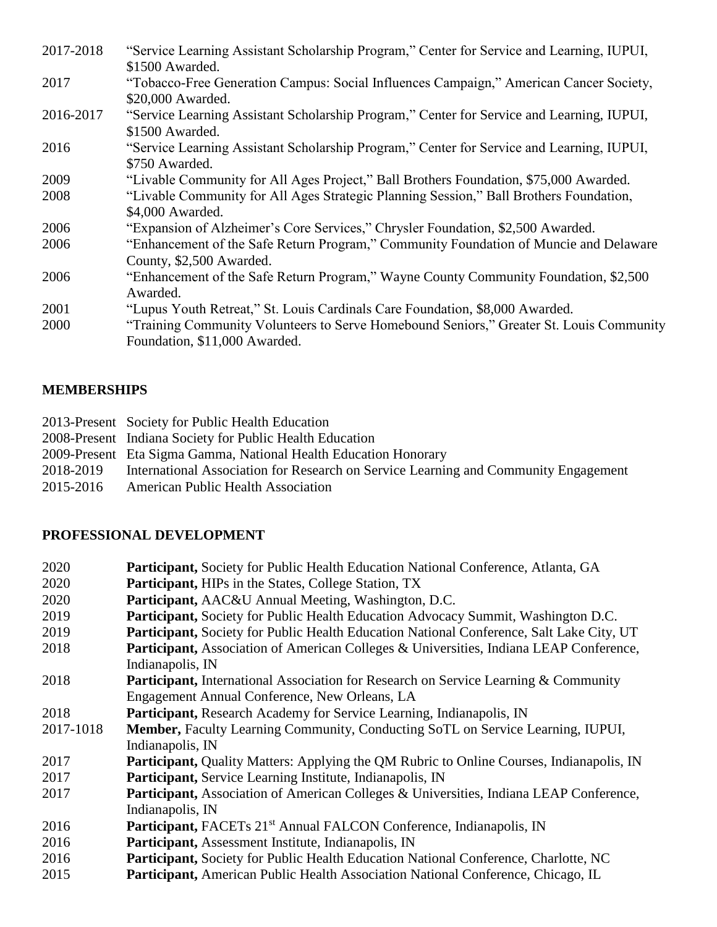| 2017-2018 | "Service Learning Assistant Scholarship Program," Center for Service and Learning, IUPUI,<br>\$1500 Awarded.                      |
|-----------|-----------------------------------------------------------------------------------------------------------------------------------|
| 2017      | "Tobacco-Free Generation Campus: Social Influences Campaign," American Cancer Society,                                            |
| 2016-2017 | \$20,000 Awarded.<br>"Service Learning Assistant Scholarship Program," Center for Service and Learning, IUPUI,<br>\$1500 Awarded. |
| 2016      | "Service Learning Assistant Scholarship Program," Center for Service and Learning, IUPUI,<br>\$750 Awarded.                       |
| 2009      | "Livable Community for All Ages Project," Ball Brothers Foundation, \$75,000 Awarded.                                             |
| 2008      | "Livable Community for All Ages Strategic Planning Session," Ball Brothers Foundation,<br>\$4,000 Awarded.                        |
| 2006      | "Expansion of Alzheimer's Core Services," Chrysler Foundation, \$2,500 Awarded.                                                   |
| 2006      | "Enhancement of the Safe Return Program," Community Foundation of Muncie and Delaware<br>County, \$2,500 Awarded.                 |
| 2006      | "Enhancement of the Safe Return Program," Wayne County Community Foundation, \$2,500<br>Awarded.                                  |
| 2001      | "Lupus Youth Retreat," St. Louis Cardinals Care Foundation, \$8,000 Awarded.                                                      |
| 2000      | "Training Community Volunteers to Serve Homebound Seniors," Greater St. Louis Community<br>Foundation, \$11,000 Awarded.          |

# **MEMBERSHIPS**

|           | 2013-Present Society for Public Health Education                                    |
|-----------|-------------------------------------------------------------------------------------|
|           | 2008-Present Indiana Society for Public Health Education                            |
|           | 2009-Present Eta Sigma Gamma, National Health Education Honorary                    |
| 2018-2019 | International Association for Research on Service Learning and Community Engagement |
| 2015-2016 | <b>American Public Health Association</b>                                           |

# **PROFESSIONAL DEVELOPMENT**

| 2020      | Participant, Society for Public Health Education National Conference, Atlanta, GA                 |
|-----------|---------------------------------------------------------------------------------------------------|
| 2020      | <b>Participant, HIPs in the States, College Station, TX</b>                                       |
| 2020      | <b>Participant, AAC&amp;U Annual Meeting, Washington, D.C.</b>                                    |
| 2019      | <b>Participant, Society for Public Health Education Advocacy Summit, Washington D.C.</b>          |
| 2019      | <b>Participant, Society for Public Health Education National Conference, Salt Lake City, UT</b>   |
| 2018      | Participant, Association of American Colleges & Universities, Indiana LEAP Conference,            |
|           | Indianapolis, IN                                                                                  |
| 2018      | <b>Participant, International Association for Research on Service Learning &amp; Community</b>    |
|           | Engagement Annual Conference, New Orleans, LA                                                     |
| 2018      | Participant, Research Academy for Service Learning, Indianapolis, IN                              |
| 2017-1018 | Member, Faculty Learning Community, Conducting SoTL on Service Learning, IUPUI,                   |
|           | Indianapolis, IN                                                                                  |
| 2017      | Participant, Quality Matters: Applying the QM Rubric to Online Courses, Indianapolis, IN          |
| 2017      | <b>Participant, Service Learning Institute, Indianapolis, IN</b>                                  |
| 2017      | <b>Participant, Association of American Colleges &amp; Universities, Indiana LEAP Conference,</b> |
|           | Indianapolis, IN                                                                                  |
| 2016      | Participant, FACETs 21 <sup>st</sup> Annual FALCON Conference, Indianapolis, IN                   |
| 2016      | Participant, Assessment Institute, Indianapolis, IN                                               |
| 2016      | <b>Participant, Society for Public Health Education National Conference, Charlotte, NC</b>        |
| 2015      | <b>Participant, American Public Health Association National Conference, Chicago, IL</b>           |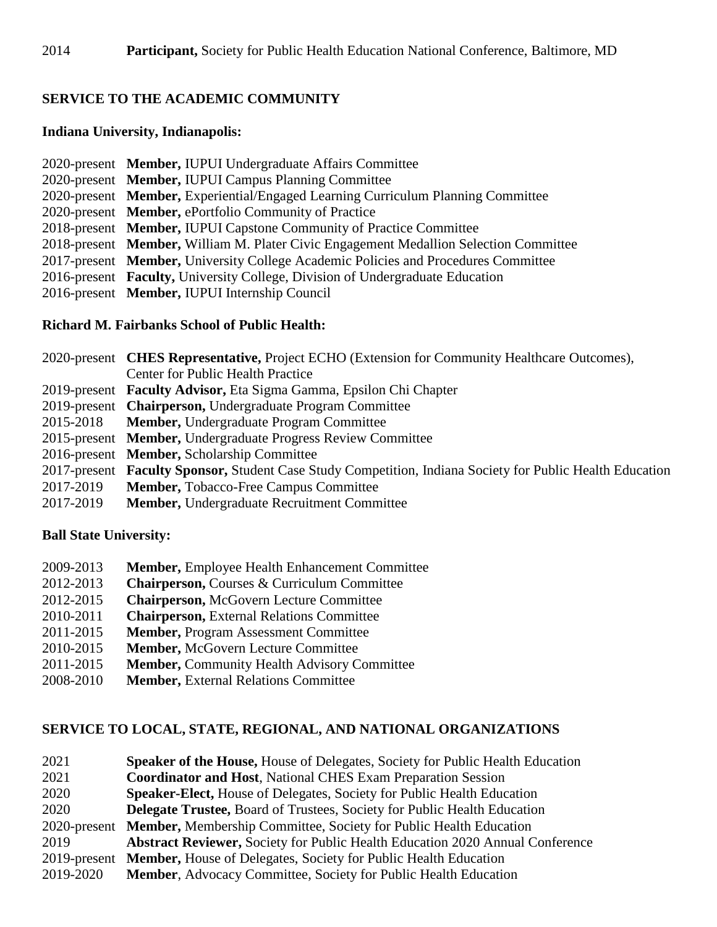## **SERVICE TO THE ACADEMIC COMMUNITY**

#### **Indiana University, Indianapolis:**

- 2020-present **Member,** IUPUI Undergraduate Affairs Committee
- 2020-present **Member,** IUPUI Campus Planning Committee
- 2020-present **Member,** Experiential/Engaged Learning Curriculum Planning Committee
- 2020-present **Member,** ePortfolio Community of Practice
- 2018-present **Member,** IUPUI Capstone Community of Practice Committee
- 2018-present **Member,** William M. Plater Civic Engagement Medallion Selection Committee
- 2017-present **Member,** University College Academic Policies and Procedures Committee
- 2016-present **Faculty,** University College, Division of Undergraduate Education
- 2016-present **Member,** IUPUI Internship Council

### **Richard M. Fairbanks School of Public Health:**

|           | 2020-present <b>CHES Representative,</b> Project ECHO (Extension for Community Healthcare Outcomes),      |  |
|-----------|-----------------------------------------------------------------------------------------------------------|--|
|           | <b>Center for Public Health Practice</b>                                                                  |  |
|           | 2019-present Faculty Advisor, Eta Sigma Gamma, Epsilon Chi Chapter                                        |  |
|           | 2019-present Chairperson, Undergraduate Program Committee                                                 |  |
| 2015-2018 | <b>Member, Undergraduate Program Committee</b>                                                            |  |
|           | 2015-present Member, Undergraduate Progress Review Committee                                              |  |
|           | 2016-present Member, Scholarship Committee                                                                |  |
|           | 2017-present Faculty Sponsor, Student Case Study Competition, Indiana Society for Public Health Education |  |
| 2017-2019 | <b>Member, Tobacco-Free Campus Committee</b>                                                              |  |
| 2017-2019 | <b>Member, Undergraduate Recruitment Committee</b>                                                        |  |

### **Ball State University:**

- 2009-2013 **Member,** Employee Health Enhancement Committee
- 2012-2013 **Chairperson,** Courses & Curriculum Committee
- 2012-2015 **Chairperson,** McGovern Lecture Committee
- 2010-2011 **Chairperson,** External Relations Committee
- 2011-2015 **Member,** Program Assessment Committee
- 2010-2015 **Member,** McGovern Lecture Committee
- 2011-2015 **Member,** Community Health Advisory Committee
- 2008-2010 **Member,** External Relations Committee

### **SERVICE TO LOCAL, STATE, REGIONAL, AND NATIONAL ORGANIZATIONS**

| 2021         | Speaker of the House, House of Delegates, Society for Public Health Education        |
|--------------|--------------------------------------------------------------------------------------|
| 2021         | <b>Coordinator and Host, National CHES Exam Preparation Session</b>                  |
| 2020         | <b>Speaker-Elect, House of Delegates, Society for Public Health Education</b>        |
| 2020         | <b>Delegate Trustee, Board of Trustees, Society for Public Health Education</b>      |
| 2020-present | Member, Membership Committee, Society for Public Health Education                    |
| 2019         | <b>Abstract Reviewer, Society for Public Health Education 2020 Annual Conference</b> |
|              | 2019-present Member, House of Delegates, Society for Public Health Education         |
| 2019-2020    | <b>Member, Advocacy Committee, Society for Public Health Education</b>               |